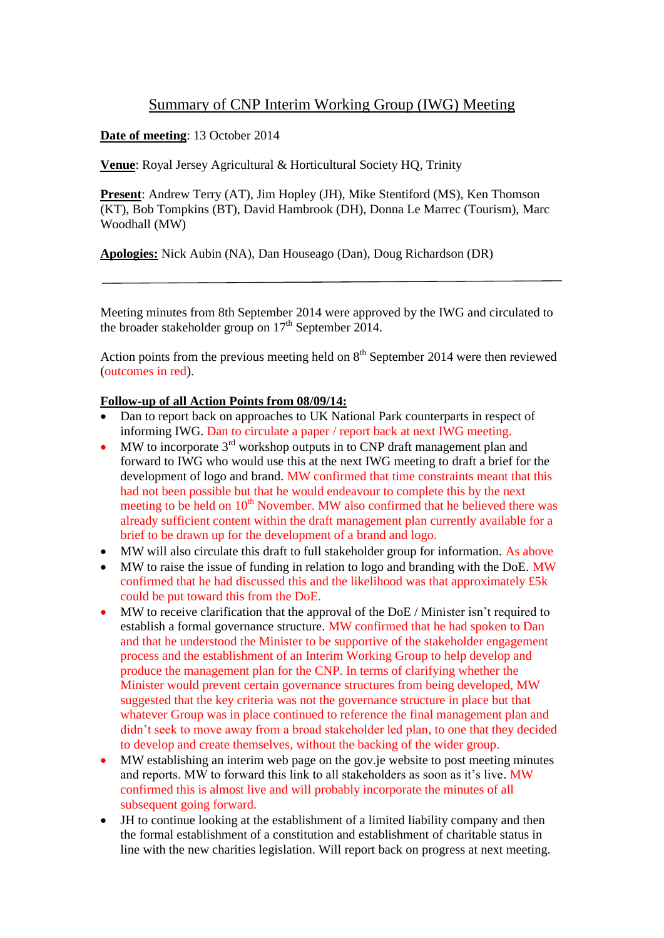## Summary of CNP Interim Working Group (IWG) Meeting

## **Date of meeting**: 13 October 2014

**Venue**: Royal Jersey Agricultural & Horticultural Society HQ, Trinity

**Present**: Andrew Terry (AT), Jim Hopley (JH), Mike Stentiford (MS), Ken Thomson (KT), Bob Tompkins (BT), David Hambrook (DH), Donna Le Marrec (Tourism), Marc Woodhall (MW)

**Apologies:** Nick Aubin (NA), Dan Houseago (Dan), Doug Richardson (DR)

Meeting minutes from 8th September 2014 were approved by the IWG and circulated to the broader stakeholder group on  $17<sup>th</sup>$  September 2014.

Action points from the previous meeting held on  $8<sup>th</sup>$  September 2014 were then reviewed (outcomes in red).

## **Follow-up of all Action Points from 08/09/14:**

- Dan to report back on approaches to UK National Park counterparts in respect of informing IWG. Dan to circulate a paper / report back at next IWG meeting.
- $\bullet$  MW to incorporate 3<sup>rd</sup> workshop outputs in to CNP draft management plan and forward to IWG who would use this at the next IWG meeting to draft a brief for the development of logo and brand. MW confirmed that time constraints meant that this had not been possible but that he would endeavour to complete this by the next meeting to be held on  $10<sup>th</sup>$  November. MW also confirmed that he believed there was already sufficient content within the draft management plan currently available for a brief to be drawn up for the development of a brand and logo.
- MW will also circulate this draft to full stakeholder group for information. As above
- MW to raise the issue of funding in relation to logo and branding with the DoE. MW confirmed that he had discussed this and the likelihood was that approximately £5k could be put toward this from the DoE.
- MW to receive clarification that the approval of the DoE / Minister isn't required to establish a formal governance structure. MW confirmed that he had spoken to Dan and that he understood the Minister to be supportive of the stakeholder engagement process and the establishment of an Interim Working Group to help develop and produce the management plan for the CNP. In terms of clarifying whether the Minister would prevent certain governance structures from being developed, MW suggested that the key criteria was not the governance structure in place but that whatever Group was in place continued to reference the final management plan and didn't seek to move away from a broad stakeholder led plan, to one that they decided to develop and create themselves, without the backing of the wider group.
- MW establishing an interim web page on the gov.je website to post meeting minutes and reports. MW to forward this link to all stakeholders as soon as it's live. MW confirmed this is almost live and will probably incorporate the minutes of all subsequent going forward.
- JH to continue looking at the establishment of a limited liability company and then the formal establishment of a constitution and establishment of charitable status in line with the new charities legislation. Will report back on progress at next meeting.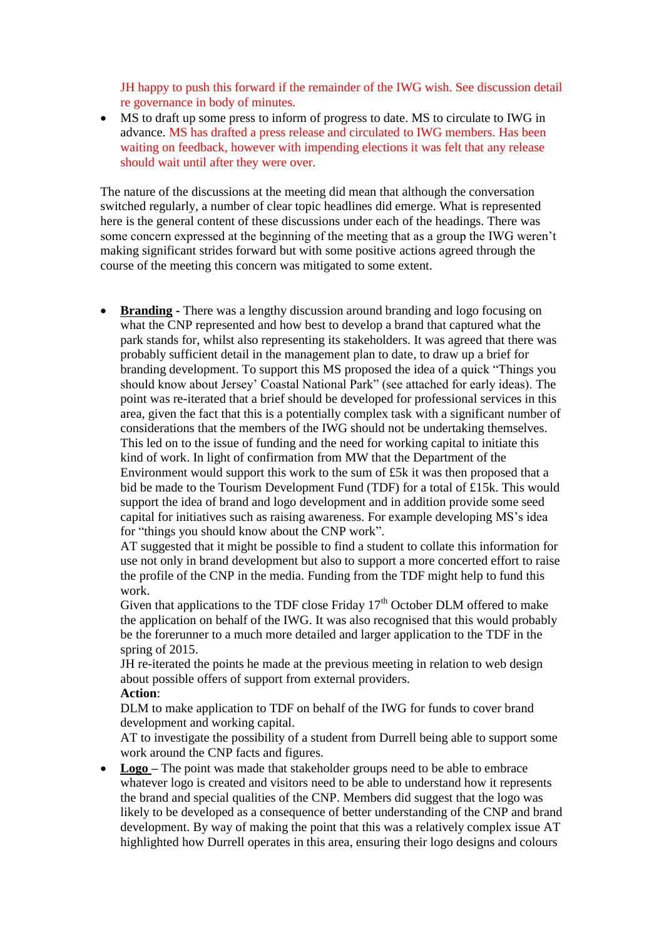JH happy to push this forward if the remainder of the IWG wish. See discussion detail re governance in body of minutes.

 MS to draft up some press to inform of progress to date. MS to circulate to IWG in advance. MS has drafted a press release and circulated to IWG members. Has been waiting on feedback, however with impending elections it was felt that any release should wait until after they were over.

The nature of the discussions at the meeting did mean that although the conversation switched regularly, a number of clear topic headlines did emerge. What is represented here is the general content of these discussions under each of the headings. There was some concern expressed at the beginning of the meeting that as a group the IWG weren't making significant strides forward but with some positive actions agreed through the course of the meeting this concern was mitigated to some extent.

**• Branding -** There was a lengthy discussion around branding and logo focusing on what the CNP represented and how best to develop a brand that captured what the park stands for, whilst also representing its stakeholders. It was agreed that there was probably sufficient detail in the management plan to date, to draw up a brief for branding development. To support this MS proposed the idea of a quick "Things you should know about Jersey' Coastal National Park" (see attached for early ideas). The point was re-iterated that a brief should be developed for professional services in this area, given the fact that this is a potentially complex task with a significant number of considerations that the members of the IWG should not be undertaking themselves. This led on to the issue of funding and the need for working capital to initiate this kind of work. In light of confirmation from MW that the Department of the Environment would support this work to the sum of £5k it was then proposed that a bid be made to the Tourism Development Fund (TDF) for a total of £15k. This would support the idea of brand and logo development and in addition provide some seed capital for initiatives such as raising awareness. For example developing MS's idea for "things you should know about the CNP work".

AT suggested that it might be possible to find a student to collate this information for use not only in brand development but also to support a more concerted effort to raise the profile of the CNP in the media. Funding from the TDF might help to fund this work.

Given that applications to the TDF close Friday  $17<sup>th</sup>$  October DLM offered to make the application on behalf of the IWG. It was also recognised that this would probably be the forerunner to a much more detailed and larger application to the TDF in the spring of 2015.

JH re-iterated the points he made at the previous meeting in relation to web design about possible offers of support from external providers. **Action**:

DLM to make application to TDF on behalf of the IWG for funds to cover brand development and working capital.

AT to investigate the possibility of a student from Durrell being able to support some work around the CNP facts and figures.

• Logo – The point was made that stakeholder groups need to be able to embrace whatever logo is created and visitors need to be able to understand how it represents the brand and special qualities of the CNP. Members did suggest that the logo was likely to be developed as a consequence of better understanding of the CNP and brand development. By way of making the point that this was a relatively complex issue AT highlighted how Durrell operates in this area, ensuring their logo designs and colours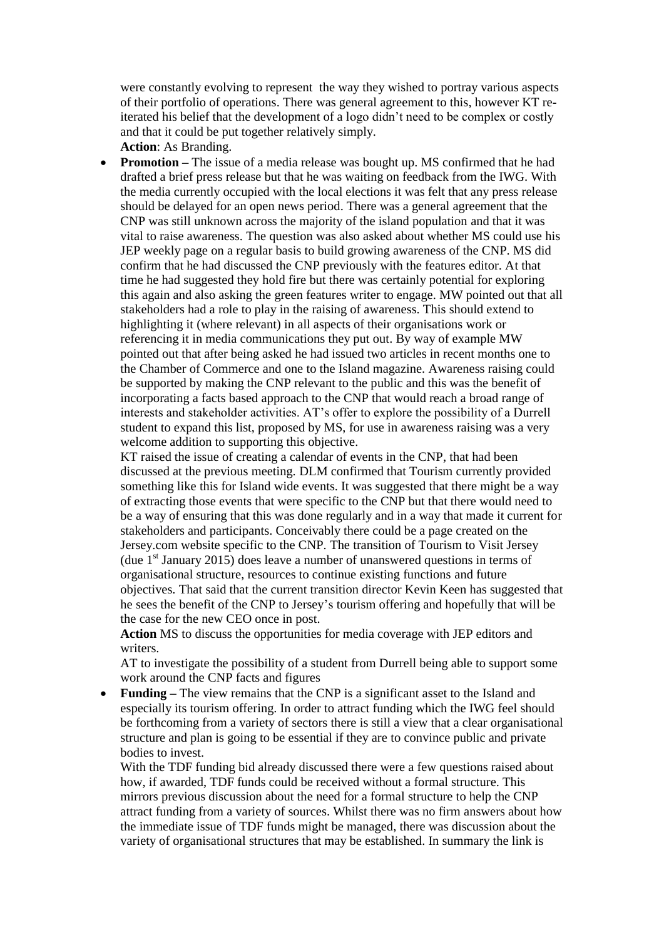were constantly evolving to represent the way they wished to portray various aspects of their portfolio of operations. There was general agreement to this, however KT reiterated his belief that the development of a logo didn't need to be complex or costly and that it could be put together relatively simply.

**Action**: As Branding. **Promotion –** The issue of a media release was bought up. MS confirmed that he had drafted a brief press release but that he was waiting on feedback from the IWG. With the media currently occupied with the local elections it was felt that any press release should be delayed for an open news period. There was a general agreement that the CNP was still unknown across the majority of the island population and that it was vital to raise awareness. The question was also asked about whether MS could use his JEP weekly page on a regular basis to build growing awareness of the CNP. MS did confirm that he had discussed the CNP previously with the features editor. At that time he had suggested they hold fire but there was certainly potential for exploring this again and also asking the green features writer to engage. MW pointed out that all stakeholders had a role to play in the raising of awareness. This should extend to highlighting it (where relevant) in all aspects of their organisations work or referencing it in media communications they put out. By way of example MW pointed out that after being asked he had issued two articles in recent months one to the Chamber of Commerce and one to the Island magazine. Awareness raising could be supported by making the CNP relevant to the public and this was the benefit of incorporating a facts based approach to the CNP that would reach a broad range of interests and stakeholder activities. AT's offer to explore the possibility of a Durrell student to expand this list, proposed by MS, for use in awareness raising was a very welcome addition to supporting this objective.

KT raised the issue of creating a calendar of events in the CNP, that had been discussed at the previous meeting. DLM confirmed that Tourism currently provided something like this for Island wide events. It was suggested that there might be a way of extracting those events that were specific to the CNP but that there would need to be a way of ensuring that this was done regularly and in a way that made it current for stakeholders and participants. Conceivably there could be a page created on the Jersey.com website specific to the CNP. The transition of Tourism to Visit Jersey (due  $1<sup>st</sup>$  January 2015) does leave a number of unanswered questions in terms of organisational structure, resources to continue existing functions and future objectives. That said that the current transition director Kevin Keen has suggested that he sees the benefit of the CNP to Jersey's tourism offering and hopefully that will be the case for the new CEO once in post.

**Action** MS to discuss the opportunities for media coverage with JEP editors and writers.

AT to investigate the possibility of a student from Durrell being able to support some work around the CNP facts and figures

 **Funding –** The view remains that the CNP is a significant asset to the Island and especially its tourism offering. In order to attract funding which the IWG feel should be forthcoming from a variety of sectors there is still a view that a clear organisational structure and plan is going to be essential if they are to convince public and private bodies to invest.

With the TDF funding bid already discussed there were a few questions raised about how, if awarded, TDF funds could be received without a formal structure. This mirrors previous discussion about the need for a formal structure to help the CNP attract funding from a variety of sources. Whilst there was no firm answers about how the immediate issue of TDF funds might be managed, there was discussion about the variety of organisational structures that may be established. In summary the link is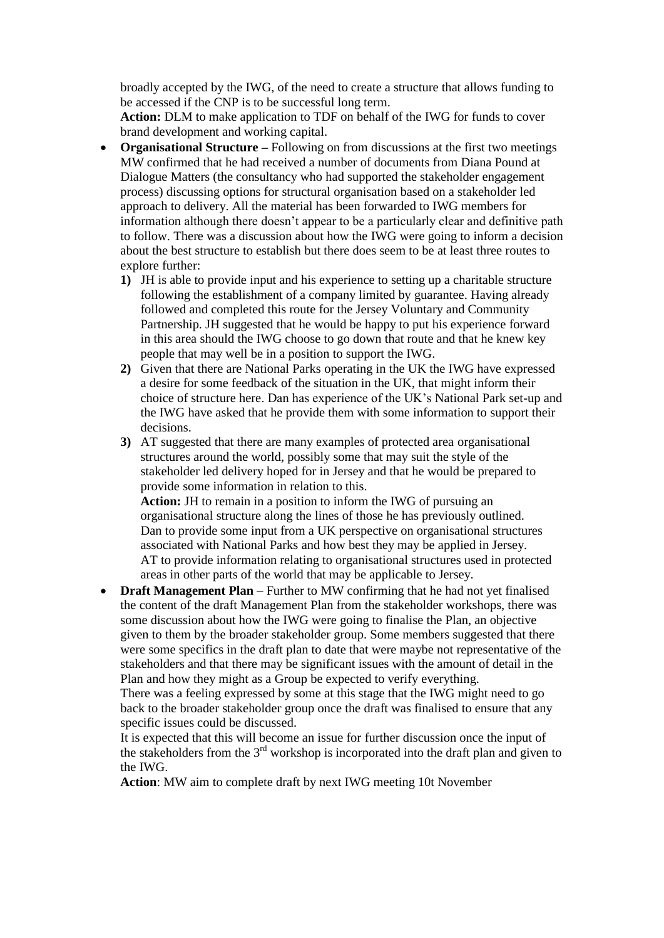broadly accepted by the IWG, of the need to create a structure that allows funding to be accessed if the CNP is to be successful long term.

**Action:** DLM to make application to TDF on behalf of the IWG for funds to cover brand development and working capital.

- **Organisational Structure –** Following on from discussions at the first two meetings MW confirmed that he had received a number of documents from Diana Pound at Dialogue Matters (the consultancy who had supported the stakeholder engagement process) discussing options for structural organisation based on a stakeholder led approach to delivery. All the material has been forwarded to IWG members for information although there doesn't appear to be a particularly clear and definitive path to follow. There was a discussion about how the IWG were going to inform a decision about the best structure to establish but there does seem to be at least three routes to explore further:
	- **1)** JH is able to provide input and his experience to setting up a charitable structure following the establishment of a company limited by guarantee. Having already followed and completed this route for the Jersey Voluntary and Community Partnership. JH suggested that he would be happy to put his experience forward in this area should the IWG choose to go down that route and that he knew key people that may well be in a position to support the IWG.
	- **2)** Given that there are National Parks operating in the UK the IWG have expressed a desire for some feedback of the situation in the UK, that might inform their choice of structure here. Dan has experience of the UK's National Park set-up and the IWG have asked that he provide them with some information to support their decisions.
	- **3)** AT suggested that there are many examples of protected area organisational structures around the world, possibly some that may suit the style of the stakeholder led delivery hoped for in Jersey and that he would be prepared to provide some information in relation to this.

**Action:** JH to remain in a position to inform the IWG of pursuing an organisational structure along the lines of those he has previously outlined. Dan to provide some input from a UK perspective on organisational structures associated with National Parks and how best they may be applied in Jersey. AT to provide information relating to organisational structures used in protected areas in other parts of the world that may be applicable to Jersey.

• **Draft Management Plan** – Further to MW confirming that he had not yet finalised the content of the draft Management Plan from the stakeholder workshops, there was some discussion about how the IWG were going to finalise the Plan, an objective given to them by the broader stakeholder group. Some members suggested that there were some specifics in the draft plan to date that were maybe not representative of the stakeholders and that there may be significant issues with the amount of detail in the Plan and how they might as a Group be expected to verify everything.

There was a feeling expressed by some at this stage that the IWG might need to go back to the broader stakeholder group once the draft was finalised to ensure that any specific issues could be discussed.

It is expected that this will become an issue for further discussion once the input of the stakeholders from the  $3<sup>rd</sup>$  workshop is incorporated into the draft plan and given to the IWG.

**Action**: MW aim to complete draft by next IWG meeting 10t November